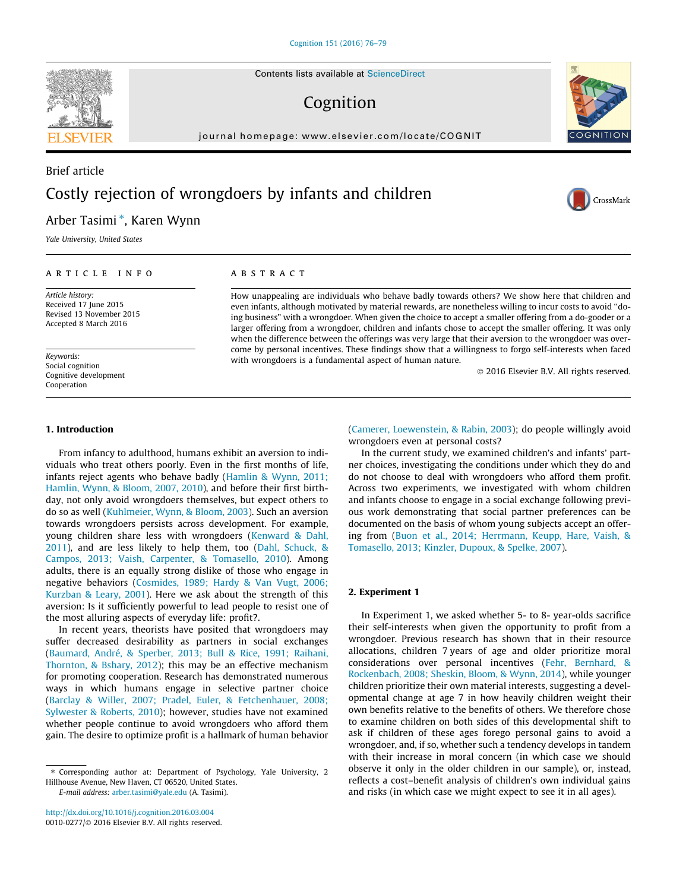Contents lists available at [ScienceDirect](http://www.sciencedirect.com/science/journal/00100277)

# Cognition

journal homepage: [www.elsevier.com/locate/COGNIT](http://www.elsevier.com/locate/COGNIT)

## Brief article Costly rejection of wrongdoers by infants and children

### Arber Tasimi \*, Karen Wynn

Yale University, United States

#### article info

Article history: Received 17 June 2015 Revised 13 November 2015 Accepted 8 March 2016

Keywords: Social cognition Cognitive development Cooperation

### ABSTRACT

How unappealing are individuals who behave badly towards others? We show here that children and even infants, although motivated by material rewards, are nonetheless willing to incur costs to avoid ''doing business" with a wrongdoer. When given the choice to accept a smaller offering from a do-gooder or a larger offering from a wrongdoer, children and infants chose to accept the smaller offering. It was only when the difference between the offerings was very large that their aversion to the wrongdoer was overcome by personal incentives. These findings show that a willingness to forgo self-interests when faced with wrongdoers is a fundamental aspect of human nature.

 $©$  2016 Elsevier B.V. All rights reserved.

#### 1. Introduction

From infancy to adulthood, humans exhibit an aversion to individuals who treat others poorly. Even in the first months of life, infants reject agents who behave badly (Hamlin & Wynn, 2011; Hamlin, Wynn, & Bloom, 2007, 2010), and before their first birthday, not only avoid wrongdoers themselves, but expect others to do so as well (Kuhlmeier, Wynn, & Bloom, 2003). Such an aversion towards wrongdoers persists across development. For example, young children share less with wrongdoers (Kenward & Dahl, 2011), and are less likely to help them, too (Dahl, Schuck, & Campos, 2013; Vaish, Carpenter, & Tomasello, 2010). Among adults, there is an equally strong dislike of those who engage in negative behaviors (Cosmides, 1989; Hardy & Van Vugt, 2006; Kurzban & Leary, 2001). Here we ask about the strength of this aversion: Is it sufficiently powerful to lead people to resist one of the most alluring aspects of everyday life: profit?.

In recent years, theorists have posited that wrongdoers may suffer decreased desirability as partners in social exchanges (Baumard, André, & Sperber, 2013; Bull & Rice, 1991; Raihani, Thornton, & Bshary, 2012); this may be an effective mechanism for promoting cooperation. Research has demonstrated numerous ways in which humans engage in selective partner choice (Barclay & Willer, 2007; Pradel, Euler, & Fetchenhauer, 2008; Sylwester & Roberts, 2010); however, studies have not examined whether people continue to avoid wrongdoers who afford them gain. The desire to optimize profit is a hallmark of human behavior

E-mail address: [arber.tasimi@yale.edu](mailto:arber.tasimi@yale.edu) (A. Tasimi).

<http://dx.doi.org/10.1016/j.cognition.2016.03.004> 0010-0277/@ 2016 Elsevier B.V. All rights reserved. (Camerer, Loewenstein, & Rabin, 2003); do people willingly avoid wrongdoers even at personal costs?

In the current study, we examined children's and infants' partner choices, investigating the conditions under which they do and do not choose to deal with wrongdoers who afford them profit. Across two experiments, we investigated with whom children and infants choose to engage in a social exchange following previous work demonstrating that social partner preferences can be documented on the basis of whom young subjects accept an offering from (Buon et al., 2014; Herrmann, Keupp, Hare, Vaish, & Tomasello, 2013; Kinzler, Dupoux, & Spelke, 2007).

#### 2. Experiment 1

In Experiment 1, we asked whether 5- to 8- year-olds sacrifice their self-interests when given the opportunity to profit from a wrongdoer. Previous research has shown that in their resource allocations, children 7 years of age and older prioritize moral considerations over personal incentives (Fehr, Bernhard, & Rockenbach, 2008; Sheskin, Bloom, & Wynn, 2014), while younger children prioritize their own material interests, suggesting a developmental change at age 7 in how heavily children weight their own benefits relative to the benefits of others. We therefore chose to examine children on both sides of this developmental shift to ask if children of these ages forego personal gains to avoid a wrongdoer, and, if so, whether such a tendency develops in tandem with their increase in moral concern (in which case we should observe it only in the older children in our sample), or, instead, reflects a cost–benefit analysis of children's own individual gains and risks (in which case we might expect to see it in all ages).





CrossMark

<sup>⇑</sup> Corresponding author at: Department of Psychology, Yale University, 2 Hillhouse Avenue, New Haven, CT 06520, United States.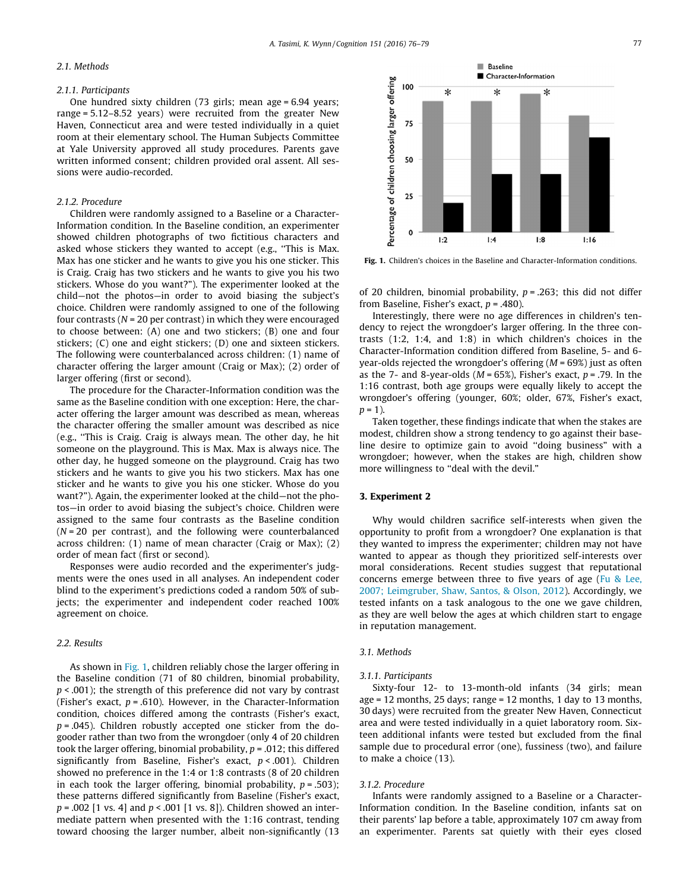#### 2.1. Methods

#### 2.1.1. Participants

One hundred sixty children (73 girls; mean age = 6.94 years; range = 5.12–8.52 years) were recruited from the greater New Haven, Connecticut area and were tested individually in a quiet room at their elementary school. The Human Subjects Committee at Yale University approved all study procedures. Parents gave written informed consent; children provided oral assent. All sessions were audio-recorded.

#### 2.1.2. Procedure

Children were randomly assigned to a Baseline or a Character-Information condition. In the Baseline condition, an experimenter showed children photographs of two fictitious characters and asked whose stickers they wanted to accept (e.g., ''This is Max. Max has one sticker and he wants to give you his one sticker. This is Craig. Craig has two stickers and he wants to give you his two stickers. Whose do you want?"). The experimenter looked at the child—not the photos—in order to avoid biasing the subject's choice. Children were randomly assigned to one of the following four contrasts ( $N = 20$  per contrast) in which they were encouraged to choose between: (A) one and two stickers; (B) one and four stickers; (C) one and eight stickers; (D) one and sixteen stickers. The following were counterbalanced across children: (1) name of character offering the larger amount (Craig or Max); (2) order of larger offering (first or second).

The procedure for the Character-Information condition was the same as the Baseline condition with one exception: Here, the character offering the larger amount was described as mean, whereas the character offering the smaller amount was described as nice (e.g., ''This is Craig. Craig is always mean. The other day, he hit someone on the playground. This is Max. Max is always nice. The other day, he hugged someone on the playground. Craig has two stickers and he wants to give you his two stickers. Max has one sticker and he wants to give you his one sticker. Whose do you want?"). Again, the experimenter looked at the child—not the photos—in order to avoid biasing the subject's choice. Children were assigned to the same four contrasts as the Baseline condition  $(N = 20$  per contrast), and the following were counterbalanced across children: (1) name of mean character (Craig or Max); (2) order of mean fact (first or second).

Responses were audio recorded and the experimenter's judgments were the ones used in all analyses. An independent coder blind to the experiment's predictions coded a random 50% of subjects; the experimenter and independent coder reached 100% agreement on choice.

#### 2.2. Results

As shown in Fig. 1, children reliably chose the larger offering in the Baseline condition (71 of 80 children, binomial probability,  $p$  < .001); the strength of this preference did not vary by contrast (Fisher's exact,  $p = .610$ ). However, in the Character-Information condition, choices differed among the contrasts (Fisher's exact,  $p = .045$ ). Children robustly accepted one sticker from the dogooder rather than two from the wrongdoer (only 4 of 20 children took the larger offering, binomial probability,  $p = .012$ ; this differed significantly from Baseline, Fisher's exact,  $p < .001$ ). Children showed no preference in the 1:4 or 1:8 contrasts (8 of 20 children in each took the larger offering, binomial probability,  $p = .503$ ); these patterns differed significantly from Baseline (Fisher's exact,  $p = .002$  [1 vs. 4] and  $p < .001$  [1 vs. 8]). Children showed an intermediate pattern when presented with the 1:16 contrast, tending toward choosing the larger number, albeit non-significantly (13



Fig. 1. Children's choices in the Baseline and Character-Information conditions.

of 20 children, binomial probability,  $p = .263$ ; this did not differ from Baseline, Fisher's exact,  $p = .480$ ).

Interestingly, there were no age differences in children's tendency to reject the wrongdoer's larger offering. In the three contrasts (1:2, 1:4, and 1:8) in which children's choices in the Character-Information condition differed from Baseline, 5- and 6 year-olds rejected the wrongdoer's offering  $(M = 69%)$  just as often as the 7- and 8-year-olds ( $M = 65\%$ ), Fisher's exact,  $p = .79$ . In the 1:16 contrast, both age groups were equally likely to accept the wrongdoer's offering (younger, 60%; older, 67%, Fisher's exact,  $p = 1$ ).

Taken together, these findings indicate that when the stakes are modest, children show a strong tendency to go against their baseline desire to optimize gain to avoid ''doing business" with a wrongdoer; however, when the stakes are high, children show more willingness to "deal with the devil."

#### 3. Experiment 2

Why would children sacrifice self-interests when given the opportunity to profit from a wrongdoer? One explanation is that they wanted to impress the experimenter; children may not have wanted to appear as though they prioritized self-interests over moral considerations. Recent studies suggest that reputational concerns emerge between three to five years of age (Fu & Lee, 2007; Leimgruber, Shaw, Santos, & Olson, 2012). Accordingly, we tested infants on a task analogous to the one we gave children, as they are well below the ages at which children start to engage in reputation management.

#### 3.1. Methods

#### 3.1.1. Participants

Sixty-four 12- to 13-month-old infants (34 girls; mean age = 12 months, 25 days; range = 12 months, 1 day to 13 months, 30 days) were recruited from the greater New Haven, Connecticut area and were tested individually in a quiet laboratory room. Sixteen additional infants were tested but excluded from the final sample due to procedural error (one), fussiness (two), and failure to make a choice (13).

#### 3.1.2. Procedure

Infants were randomly assigned to a Baseline or a Character-Information condition. In the Baseline condition, infants sat on their parents' lap before a table, approximately 107 cm away from an experimenter. Parents sat quietly with their eyes closed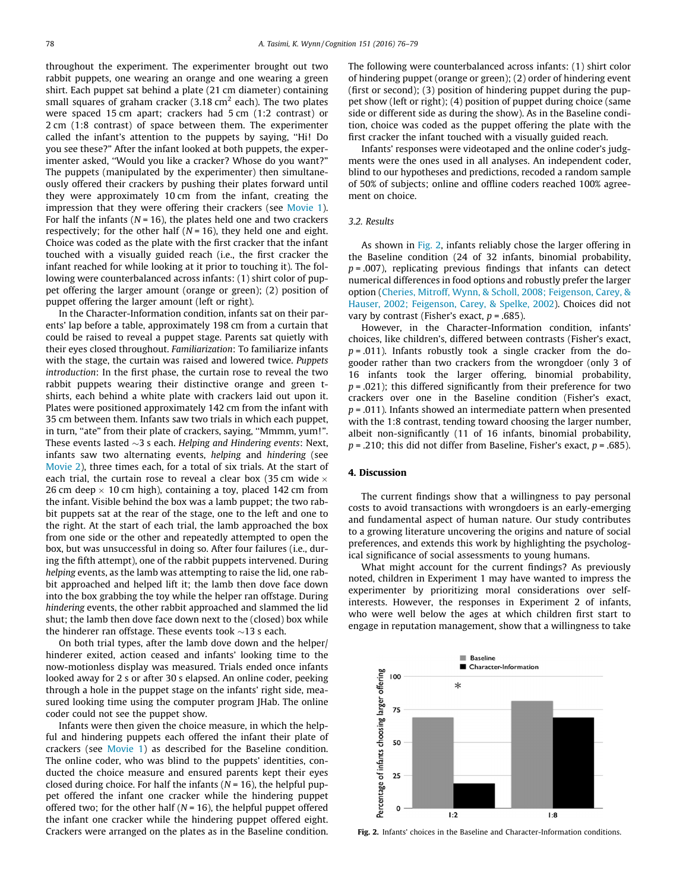throughout the experiment. The experimenter brought out two rabbit puppets, one wearing an orange and one wearing a green shirt. Each puppet sat behind a plate (21 cm diameter) containing small squares of graham cracker  $(3.18 \text{ cm}^2 \text{ each})$ . The two plates were spaced 15 cm apart; crackers had 5 cm (1:2 contrast) or 2 cm (1:8 contrast) of space between them. The experimenter called the infant's attention to the puppets by saying, ''Hi! Do you see these?" After the infant looked at both puppets, the experimenter asked, ''Would you like a cracker? Whose do you want?" The puppets (manipulated by the experimenter) then simultaneously offered their crackers by pushing their plates forward until they were approximately 10 cm from the infant, creating the impression that they were offering their crackers (see Movie 1). For half the infants ( $N = 16$ ), the plates held one and two crackers respectively; for the other half ( $N = 16$ ), they held one and eight. Choice was coded as the plate with the first cracker that the infant touched with a visually guided reach (i.e., the first cracker the infant reached for while looking at it prior to touching it). The following were counterbalanced across infants: (1) shirt color of puppet offering the larger amount (orange or green); (2) position of puppet offering the larger amount (left or right).

In the Character-Information condition, infants sat on their parents' lap before a table, approximately 198 cm from a curtain that could be raised to reveal a puppet stage. Parents sat quietly with their eyes closed throughout. Familiarization: To familiarize infants with the stage, the curtain was raised and lowered twice. Puppets introduction: In the first phase, the curtain rose to reveal the two rabbit puppets wearing their distinctive orange and green tshirts, each behind a white plate with crackers laid out upon it. Plates were positioned approximately 142 cm from the infant with 35 cm between them. Infants saw two trials in which each puppet, in turn, "ate" from their plate of crackers, saying, "Mmmm, yum!". These events lasted  $\sim$ 3 s each. Helping and Hindering events: Next, infants saw two alternating events, helping and hindering (see Movie 2), three times each, for a total of six trials. At the start of each trial, the curtain rose to reveal a clear box (35 cm wide  $\times$ 26 cm deep  $\times$  10 cm high), containing a toy, placed 142 cm from the infant. Visible behind the box was a lamb puppet; the two rabbit puppets sat at the rear of the stage, one to the left and one to the right. At the start of each trial, the lamb approached the box from one side or the other and repeatedly attempted to open the box, but was unsuccessful in doing so. After four failures (i.e., during the fifth attempt), one of the rabbit puppets intervened. During helping events, as the lamb was attempting to raise the lid, one rabbit approached and helped lift it; the lamb then dove face down into the box grabbing the toy while the helper ran offstage. During hindering events, the other rabbit approached and slammed the lid shut; the lamb then dove face down next to the (closed) box while the hinderer ran offstage. These events took  $\sim$ 13 s each.

On both trial types, after the lamb dove down and the helper/ hinderer exited, action ceased and infants' looking time to the now-motionless display was measured. Trials ended once infants looked away for 2 s or after 30 s elapsed. An online coder, peeking through a hole in the puppet stage on the infants' right side, measured looking time using the computer program JHab. The online coder could not see the puppet show.

Infants were then given the choice measure, in which the helpful and hindering puppets each offered the infant their plate of crackers (see Movie 1) as described for the Baseline condition. The online coder, who was blind to the puppets' identities, conducted the choice measure and ensured parents kept their eyes closed during choice. For half the infants ( $N = 16$ ), the helpful puppet offered the infant one cracker while the hindering puppet offered two; for the other half ( $N = 16$ ), the helpful puppet offered the infant one cracker while the hindering puppet offered eight. Crackers were arranged on the plates as in the Baseline condition.

The following were counterbalanced across infants: (1) shirt color of hindering puppet (orange or green); (2) order of hindering event (first or second); (3) position of hindering puppet during the puppet show (left or right); (4) position of puppet during choice (same side or different side as during the show). As in the Baseline condition, choice was coded as the puppet offering the plate with the first cracker the infant touched with a visually guided reach.

Infants' responses were videotaped and the online coder's judgments were the ones used in all analyses. An independent coder, blind to our hypotheses and predictions, recoded a random sample of 50% of subjects; online and offline coders reached 100% agreement on choice.

#### 3.2. Results

As shown in Fig. 2, infants reliably chose the larger offering in the Baseline condition (24 of 32 infants, binomial probability,  $p = .007$ ), replicating previous findings that infants can detect numerical differences in food options and robustly prefer the larger option (Cheries, Mitroff, Wynn, & Scholl, 2008; Feigenson, Carey, & Hauser, 2002; Feigenson, Carey, & Spelke, 2002). Choices did not vary by contrast (Fisher's exact,  $p = .685$ ).

However, in the Character-Information condition, infants' choices, like children's, differed between contrasts (Fisher's exact,  $p = .011$ ). Infants robustly took a single cracker from the dogooder rather than two crackers from the wrongdoer (only 3 of 16 infants took the larger offering, binomial probability,  $p = .021$ ; this differed significantly from their preference for two crackers over one in the Baseline condition (Fisher's exact,  $p = .011$ ). Infants showed an intermediate pattern when presented with the 1:8 contrast, tending toward choosing the larger number, albeit non-significantly (11 of 16 infants, binomial probability,  $p = 0.210$ ; this did not differ from Baseline, Fisher's exact,  $p = 0.685$ ).

#### 4. Discussion

The current findings show that a willingness to pay personal costs to avoid transactions with wrongdoers is an early-emerging and fundamental aspect of human nature. Our study contributes to a growing literature uncovering the origins and nature of social preferences, and extends this work by highlighting the psychological significance of social assessments to young humans.

What might account for the current findings? As previously noted, children in Experiment 1 may have wanted to impress the experimenter by prioritizing moral considerations over selfinterests. However, the responses in Experiment 2 of infants, who were well below the ages at which children first start to engage in reputation management, show that a willingness to take



Fig. 2. Infants' choices in the Baseline and Character-Information conditions.